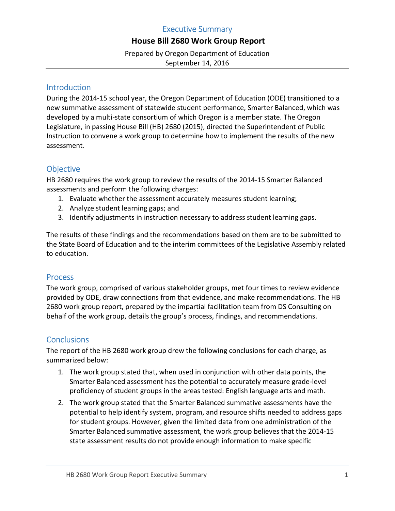# Executive Summary

# House Bill 2680 Work Group Report

 Prepared by Oregon Department of Education September 14, 2016

### Introduction

 During the 2014-15 school year, the Oregon Department of Education (ODE) transitioned to a new summative assessment of statewide student performance, Smarter Balanced, which was developed by a multi-state consortium of which Oregon is a member state. The Oregon Legislature, in passing House Bill (HB) 2680 (2015), directed the Superintendent of Public Instruction to convene a work group to determine how to implement the results of the new assessment.

## **Objective**

 HB 2680 requires the work group to review the results of the 2014-15 Smarter Balanced assessments and perform the following charges:

- 1. Evaluate whether the assessment accurately measures student learning;
- 2. Analyze student learning gaps; and
- 3. Identify adjustments in instruction necessary to address student learning gaps.

 The results of these findings and the recommendations based on them are to be submitted to the State Board of Education and to the interim committees of the Legislative Assembly related to education.

### **Process**

 The work group, comprised of various stakeholder groups, met four times to review evidence provided by ODE, draw connections from that evidence, and make recommendations. The HB 2680 work group report, prepared by the impartial facilitation team from DS Consulting on behalf of the work group, details the group's process, findings, and recommendations.

# **Conclusions**

 The report of the HB 2680 work group drew the following conclusions for each charge, as summarized below:

- 1. The work group stated that, when used in conjunction with other data points, the Smarter Balanced assessment has the potential to accurately measure grade-level proficiency of student groups in the areas tested: English language arts and math.
- 2. The work group stated that the Smarter Balanced summative assessments have the potential to help identify system, program, and resource shifts needed to address gaps for student groups. However, given the limited data from one administration of the Smarter Balanced summative assessment, the work group believes that the 2014-15 state assessment results do not provide enough information to make specific